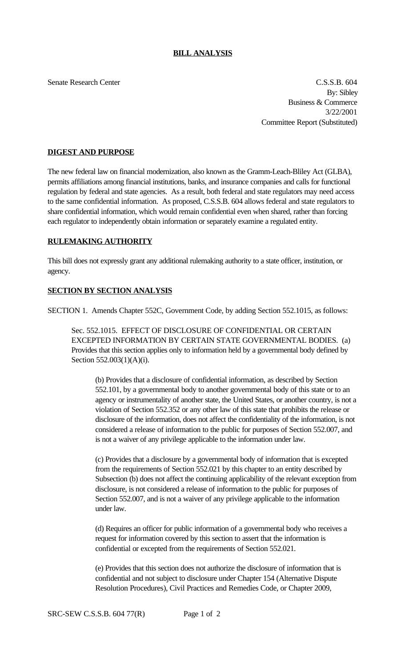## **BILL ANALYSIS**

Senate Research Center Cassachusetts and the C.S.S.B. 604 By: Sibley Business & Commerce 3/22/2001 Committee Report (Substituted)

### **DIGEST AND PURPOSE**

The new federal law on financial modernization, also known as the Gramm-Leach-Bliley Act (GLBA), permits affiliations among financial institutions, banks, and insurance companies and calls for functional regulation by federal and state agencies. As a result, both federal and state regulators may need access to the same confidential information. As proposed, C.S.S.B. 604 allows federal and state regulators to share confidential information, which would remain confidential even when shared, rather than forcing each regulator to independently obtain information or separately examine a regulated entity.

#### **RULEMAKING AUTHORITY**

This bill does not expressly grant any additional rulemaking authority to a state officer, institution, or agency.

## **SECTION BY SECTION ANALYSIS**

SECTION 1. Amends Chapter 552C, Government Code, by adding Section 552.1015, as follows:

Sec. 552.1015. EFFECT OF DISCLOSURE OF CONFIDENTIAL OR CERTAIN EXCEPTED INFORMATION BY CERTAIN STATE GOVERNMENTAL BODIES. (a) Provides that this section applies only to information held by a governmental body defined by Section 552.003(1)(A)(i).

(b) Provides that a disclosure of confidential information, as described by Section 552.101, by a governmental body to another governmental body of this state or to an agency or instrumentality of another state, the United States, or another country, is not a violation of Section 552.352 or any other law of this state that prohibits the release or disclosure of the information, does not affect the confidentiality of the information, is not considered a release of information to the public for purposes of Section 552.007, and is not a waiver of any privilege applicable to the information under law.

(c) Provides that a disclosure by a governmental body of information that is excepted from the requirements of Section 552.021 by this chapter to an entity described by Subsection (b) does not affect the continuing applicability of the relevant exception from disclosure, is not considered a release of information to the public for purposes of Section 552.007, and is not a waiver of any privilege applicable to the information under law.

(d) Requires an officer for public information of a governmental body who receives a request for information covered by this section to assert that the information is confidential or excepted from the requirements of Section 552.021.

(e) Provides that this section does not authorize the disclosure of information that is confidential and not subject to disclosure under Chapter 154 (Alternative Dispute Resolution Procedures), Civil Practices and Remedies Code, or Chapter 2009,